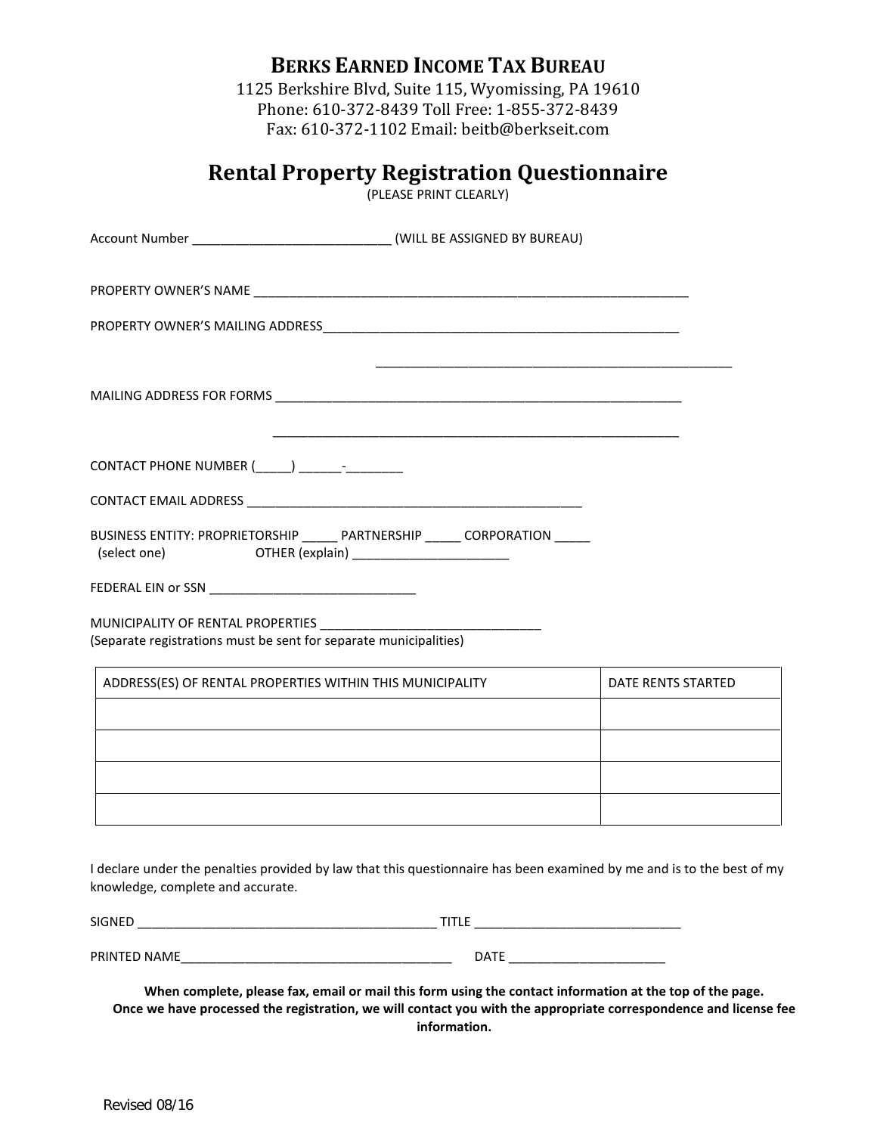|  | <b>BERKS EARNED INCOME TAX BUREAU</b> |
|--|---------------------------------------|
|--|---------------------------------------|

1125 Berkshire Blvd, Suite 115, Wyomissing, PA 19610 Phone: 610-372-8439 Toll Free: 1-855-372-8439 Fax: 610-372-1102 Email: beitb@berkseit.com

| <b>Rental Property Registration Questionnaire</b><br>(PLEASE PRINT CLEARLY)                                                              |                    |
|------------------------------------------------------------------------------------------------------------------------------------------|--------------------|
| Account Number _______________________________(WILL BE ASSIGNED BY BUREAU)                                                               |                    |
|                                                                                                                                          |                    |
|                                                                                                                                          |                    |
|                                                                                                                                          |                    |
|                                                                                                                                          |                    |
|                                                                                                                                          |                    |
| BUSINESS ENTITY: PROPRIETORSHIP _____ PARTNERSHIP _____ CORPORATION _____<br>(select one)<br>OTHER (explain) ___________________________ |                    |
|                                                                                                                                          |                    |
| MUNICIPALITY OF RENTAL PROPERTIES _____________<br>(Separate registrations must be sent for separate municipalities)                     |                    |
| ADDRESS(ES) OF RENTAL PROPERTIES WITHIN THIS MUNICIPALITY                                                                                | DATE RENTS STARTED |
|                                                                                                                                          |                    |
|                                                                                                                                          |                    |
|                                                                                                                                          |                    |

| <b>SIGNED</b> | $\overline{\phantom{0}}$<br>-- |
|---------------|--------------------------------|
|               |                                |
| PRINTED NAME  | <b>DATE</b>                    |

**When complete, please fax, email or mail this form using the contact information at the top of the page. Once we have processed the registration, we will contact you with the appropriate correspondence and license fee information.**